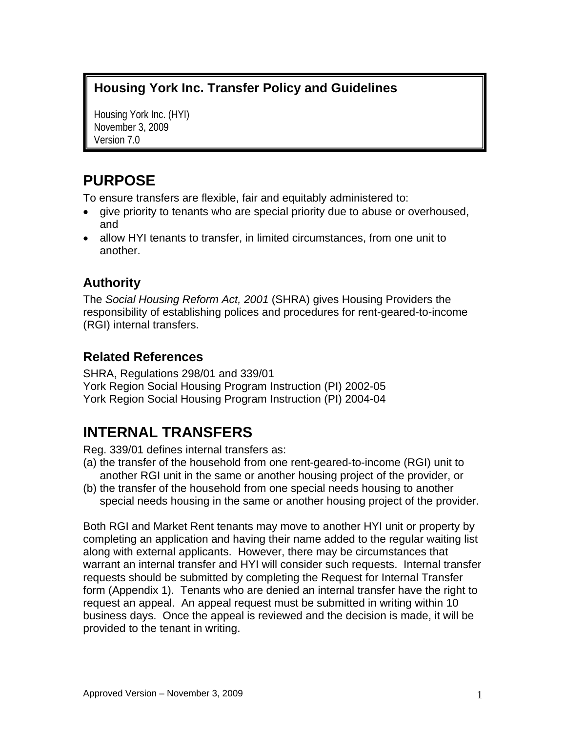## **Housing York Inc. Transfer Policy and Guidelines**

Housing York Inc. (HYI) November 3, 2009 Version 7.0

# **PURPOSE**

To ensure transfers are flexible, fair and equitably administered to:

- give priority to tenants who are special priority due to abuse or overhoused, and
- allow HYI tenants to transfer, in limited circumstances, from one unit to another.

# **Authority**

The *Social Housing Reform Act, 2001* (SHRA) gives Housing Providers the responsibility of establishing polices and procedures for rent-geared-to-income (RGI) internal transfers.

## **Related References**

SHRA, Regulations 298/01 and 339/01 York Region Social Housing Program Instruction (PI) 2002-05 York Region Social Housing Program Instruction (PI) 2004-04

# **INTERNAL TRANSFERS**

Reg. 339/01 defines internal transfers as:

- (a) the transfer of the household from one rent-geared-to-income (RGI) unit to another RGI unit in the same or another housing project of the provider, or
- (b) the transfer of the household from one special needs housing to another special needs housing in the same or another housing project of the provider.

Both RGI and Market Rent tenants may move to another HYI unit or property by completing an application and having their name added to the regular waiting list along with external applicants. However, there may be circumstances that warrant an internal transfer and HYI will consider such requests. Internal transfer requests should be submitted by completing the Request for Internal Transfer form (Appendix 1). Tenants who are denied an internal transfer have the right to request an appeal. An appeal request must be submitted in writing within 10 business days. Once the appeal is reviewed and the decision is made, it will be provided to the tenant in writing.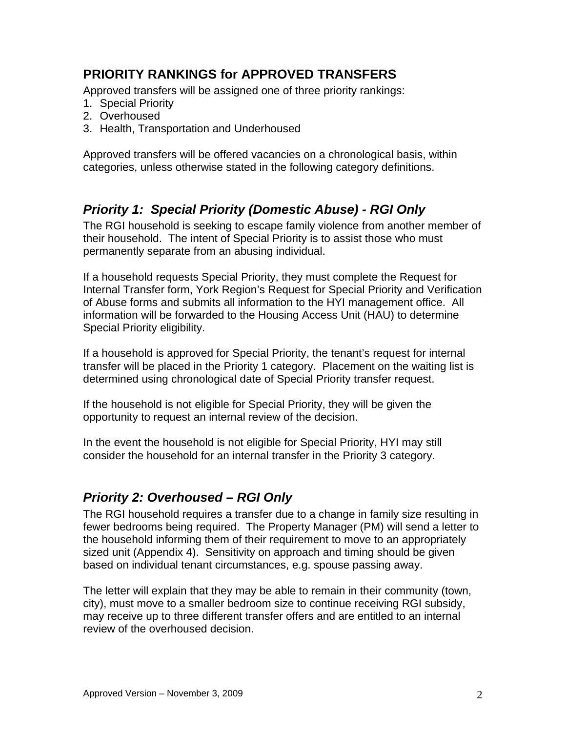## **PRIORITY RANKINGS for APPROVED TRANSFERS**

Approved transfers will be assigned one of three priority rankings:

- 1. Special Priority
- 2. Overhoused
- 3. Health, Transportation and Underhoused

Approved transfers will be offered vacancies on a chronological basis, within categories, unless otherwise stated in the following category definitions.

# *Priority 1: Special Priority (Domestic Abuse) - RGI Only*

The RGI household is seeking to escape family violence from another member of their household. The intent of Special Priority is to assist those who must permanently separate from an abusing individual.

If a household requests Special Priority, they must complete the Request for Internal Transfer form, York Region's Request for Special Priority and Verification of Abuse forms and submits all information to the HYI management office. All information will be forwarded to the Housing Access Unit (HAU) to determine Special Priority eligibility.

If a household is approved for Special Priority, the tenant's request for internal transfer will be placed in the Priority 1 category. Placement on the waiting list is determined using chronological date of Special Priority transfer request.

If the household is not eligible for Special Priority, they will be given the opportunity to request an internal review of the decision.

In the event the household is not eligible for Special Priority, HYI may still consider the household for an internal transfer in the Priority 3 category.

## *Priority 2: Overhoused – RGI Only*

The RGI household requires a transfer due to a change in family size resulting in fewer bedrooms being required. The Property Manager (PM) will send a letter to the household informing them of their requirement to move to an appropriately sized unit (Appendix 4). Sensitivity on approach and timing should be given based on individual tenant circumstances, e.g. spouse passing away.

The letter will explain that they may be able to remain in their community (town, city), must move to a smaller bedroom size to continue receiving RGI subsidy, may receive up to three different transfer offers and are entitled to an internal review of the overhoused decision.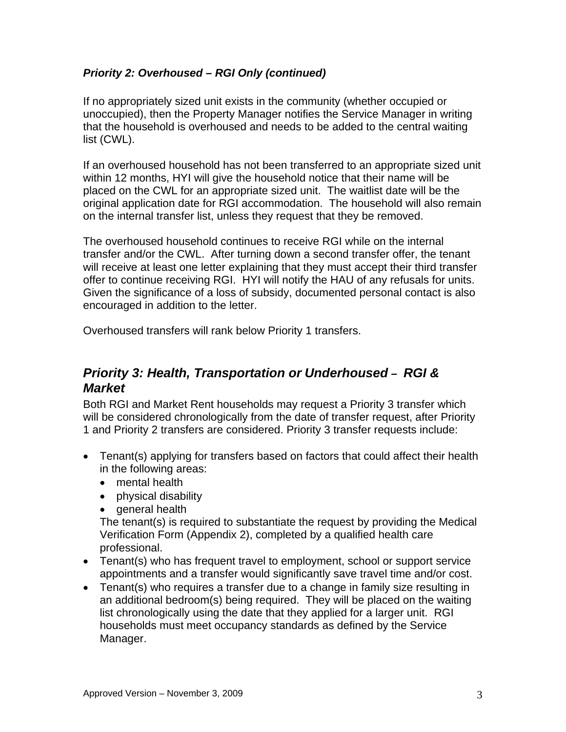#### *Priority 2: Overhoused – RGI Only (continued)*

If no appropriately sized unit exists in the community (whether occupied or unoccupied), then the Property Manager notifies the Service Manager in writing that the household is overhoused and needs to be added to the central waiting list (CWL).

If an overhoused household has not been transferred to an appropriate sized unit within 12 months, HYI will give the household notice that their name will be placed on the CWL for an appropriate sized unit. The waitlist date will be the original application date for RGI accommodation. The household will also remain on the internal transfer list, unless they request that they be removed.

The overhoused household continues to receive RGI while on the internal transfer and/or the CWL. After turning down a second transfer offer, the tenant will receive at least one letter explaining that they must accept their third transfer offer to continue receiving RGI. HYI will notify the HAU of any refusals for units. Given the significance of a loss of subsidy, documented personal contact is also encouraged in addition to the letter.

Overhoused transfers will rank below Priority 1 transfers.

### *Priority 3: Health, Transportation or Underhoused – RGI & Market*

Both RGI and Market Rent households may request a Priority 3 transfer which will be considered chronologically from the date of transfer request, after Priority 1 and Priority 2 transfers are considered. Priority 3 transfer requests include:

- Tenant(s) applying for transfers based on factors that could affect their health in the following areas:
	- mental health
	- physical disability
	- general health

The tenant(s) is required to substantiate the request by providing the Medical Verification Form (Appendix 2), completed by a qualified health care professional.

- Tenant(s) who has frequent travel to employment, school or support service appointments and a transfer would significantly save travel time and/or cost.
- Tenant(s) who requires a transfer due to a change in family size resulting in an additional bedroom(s) being required. They will be placed on the waiting list chronologically using the date that they applied for a larger unit. RGI households must meet occupancy standards as defined by the Service Manager.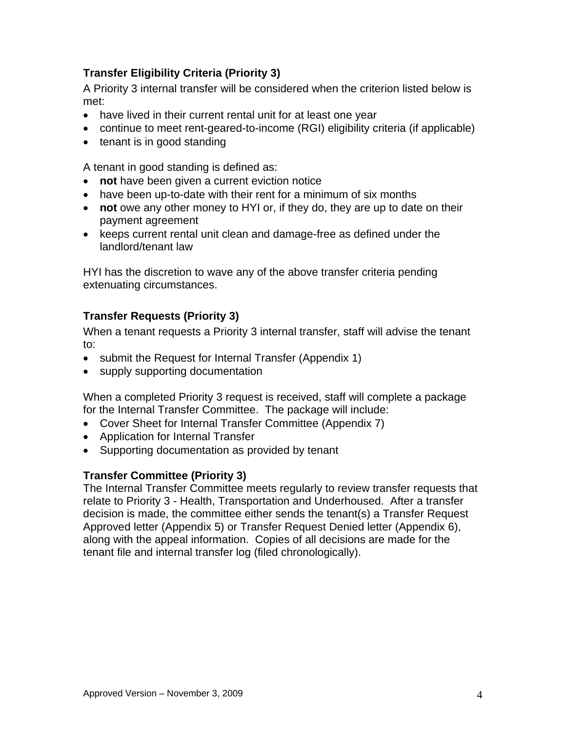#### **Transfer Eligibility Criteria (Priority 3)**

A Priority 3 internal transfer will be considered when the criterion listed below is met:

- have lived in their current rental unit for at least one year
- continue to meet rent-geared-to-income (RGI) eligibility criteria (if applicable)
- tenant is in good standing

A tenant in good standing is defined as:

- **not** have been given a current eviction notice
- have been up-to-date with their rent for a minimum of six months
- **not** owe any other money to HYI or, if they do, they are up to date on their payment agreement
- keeps current rental unit clean and damage-free as defined under the landlord/tenant law

HYI has the discretion to wave any of the above transfer criteria pending extenuating circumstances.

#### **Transfer Requests (Priority 3)**

When a tenant requests a Priority 3 internal transfer, staff will advise the tenant to:

- submit the Request for Internal Transfer (Appendix 1)
- supply supporting documentation

When a completed Priority 3 request is received, staff will complete a package for the Internal Transfer Committee. The package will include:

- Cover Sheet for Internal Transfer Committee (Appendix 7)
- Application for Internal Transfer
- Supporting documentation as provided by tenant

#### **Transfer Committee (Priority 3)**

The Internal Transfer Committee meets regularly to review transfer requests that relate to Priority 3 - Health, Transportation and Underhoused. After a transfer decision is made, the committee either sends the tenant(s) a Transfer Request Approved letter (Appendix 5) or Transfer Request Denied letter (Appendix 6), along with the appeal information. Copies of all decisions are made for the tenant file and internal transfer log (filed chronologically).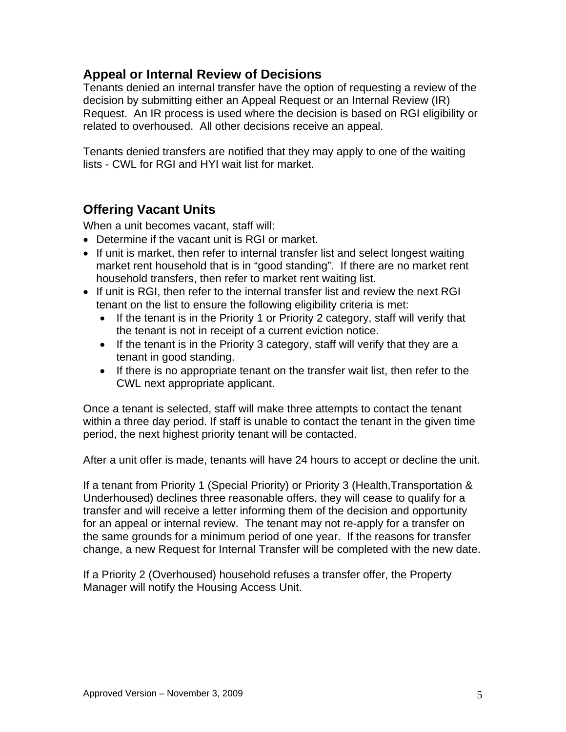## **Appeal or Internal Review of Decisions**

Tenants denied an internal transfer have the option of requesting a review of the decision by submitting either an Appeal Request or an Internal Review (IR) Request. An IR process is used where the decision is based on RGI eligibility or related to overhoused. All other decisions receive an appeal.

Tenants denied transfers are notified that they may apply to one of the waiting lists - CWL for RGI and HYI wait list for market.

## **Offering Vacant Units**

When a unit becomes vacant, staff will:

- Determine if the vacant unit is RGI or market.
- If unit is market, then refer to internal transfer list and select longest waiting market rent household that is in "good standing". If there are no market rent household transfers, then refer to market rent waiting list.
- If unit is RGI, then refer to the internal transfer list and review the next RGI tenant on the list to ensure the following eligibility criteria is met:
	- If the tenant is in the Priority 1 or Priority 2 category, staff will verify that the tenant is not in receipt of a current eviction notice.
	- If the tenant is in the Priority 3 category, staff will verify that they are a tenant in good standing.
	- If there is no appropriate tenant on the transfer wait list, then refer to the CWL next appropriate applicant.

Once a tenant is selected, staff will make three attempts to contact the tenant within a three day period. If staff is unable to contact the tenant in the given time period, the next highest priority tenant will be contacted.

After a unit offer is made, tenants will have 24 hours to accept or decline the unit.

If a tenant from Priority 1 (Special Priority) or Priority 3 (Health,Transportation & Underhoused) declines three reasonable offers, they will cease to qualify for a transfer and will receive a letter informing them of the decision and opportunity for an appeal or internal review. The tenant may not re-apply for a transfer on the same grounds for a minimum period of one year. If the reasons for transfer change, a new Request for Internal Transfer will be completed with the new date.

If a Priority 2 (Overhoused) household refuses a transfer offer, the Property Manager will notify the Housing Access Unit.